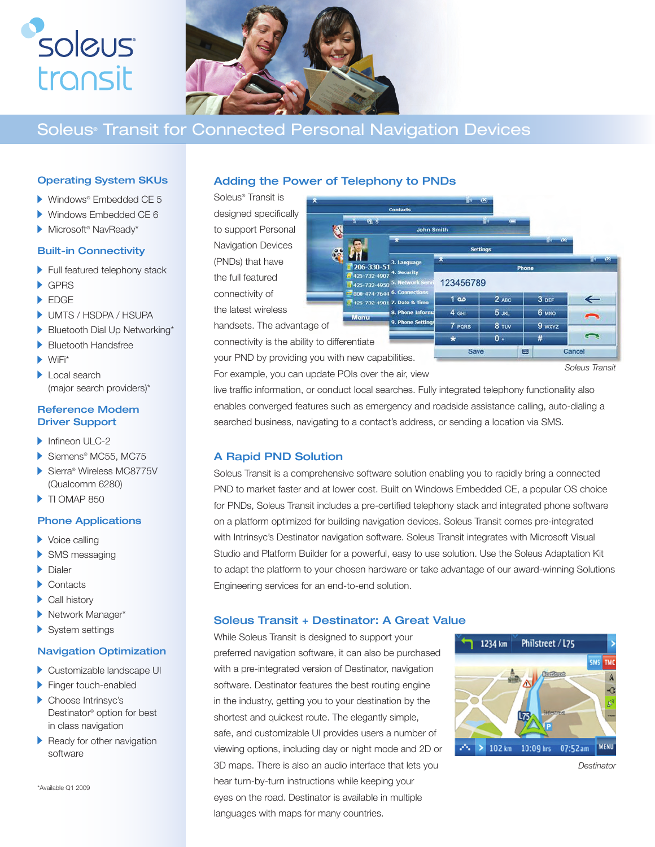



# Soleus® Transit for Connected Personal Navigation Devices

### Operating System SKUs

- Windows® Embedded CE 5
- Windows Embedded CE 6
- Microsoft® NavReady\*

#### Built-in Connectivity

- Full featured telephony stack
- GPRS
- **EDGE**
- UMTS / HSDPA / HSUPA
- Bluetooth Dial Up Networking\*
- Bluetooth Handsfree
- $\blacktriangleright$  WiFi\*
- Local search (major search providers)\*

### Reference Modem Driver Support

- Infineon ULC-2
- Siemens® MC55, MC75
- Sierra® Wireless MC8775V (Qualcomm 6280)
- TI OMAP 850

#### Phone Applications

- ▶ Voice calling
- SMS messaging
- Dialer
- ▶ Contacts
- Call history
- Network Manager\*
- System settings

#### Navigation Optimization

- Customizable landscape UI
- Finger touch-enabled Choose Intrinsyc's Destinator® option for best in class navigation
- ь Ready for other navigation software

\*Available Q1 2009

# Adding the Power of Telephony to PNDs

Soleus® Transit is designed specifically to support Personal Navigation Devices (PNDs) that have the full featured connectivity of the latest wireless

handsets. The advantage of connectivity is the ability to differentiate

your PND by providing you with new capabilities. For example, you can update POIs over the air, view Cancel

live traffic information, or conduct local searches. Fully integrated telephony functionality also enables converged features such as emergency and roadside assistance calling, auto-dialing a searched business, navigating to a contact's address, or sending a location via SMS.

**8. Phone Infor** 9. Pt

Contacts

206-330-51 125-732-4907

8 425-732-4901 7. Date & Tir

425-732-4950 800-474-7644 6.C **John Smith** 

123456789

هه 1

4 GHI

7 PORS

Save

 $2$  ABC

 $5<sub>JKL</sub>$ 

8 TUV

 $\qquad \qquad \blacksquare$ 

 $0.$ 

3 DEF

**6 мло** 

9 wxyz

# A Rapid PND Solution

Soleus Transit is a comprehensive software solution enabling you to rapidly bring a connected PND to market faster and at lower cost. Built on Windows Embedded CE, a popular OS choice for PNDs, Soleus Transit includes a pre-certified telephony stack and integrated phone software on a platform optimized for building navigation devices. Soleus Transit comes pre-integrated with Intrinsyc's Destinator navigation software. Soleus Transit integrates with Microsoft Visual Studio and Platform Builder for a powerful, easy to use solution. Use the Soleus Adaptation Kit to adapt the platform to your chosen hardware or take advantage of our award-winning Solutions Engineering services for an end-to-end solution.

# Soleus Transit + Destinator: A Great Value

While Soleus Transit is designed to support your preferred navigation software, it can also be purchased with a pre-integrated version of Destinator, navigation software. Destinator features the best routing engine in the industry, getting you to your destination by the shortest and quickest route. The elegantly simple, safe, and customizable UI provides users a number of viewing options, including day or night mode and 2D or 3D maps. There is also an audio interface that lets you hear turn-by-turn instructions while keeping your eyes on the road. Destinator is available in multiple languages with maps for many countries.



*Destinator*

*Soleus Transit*